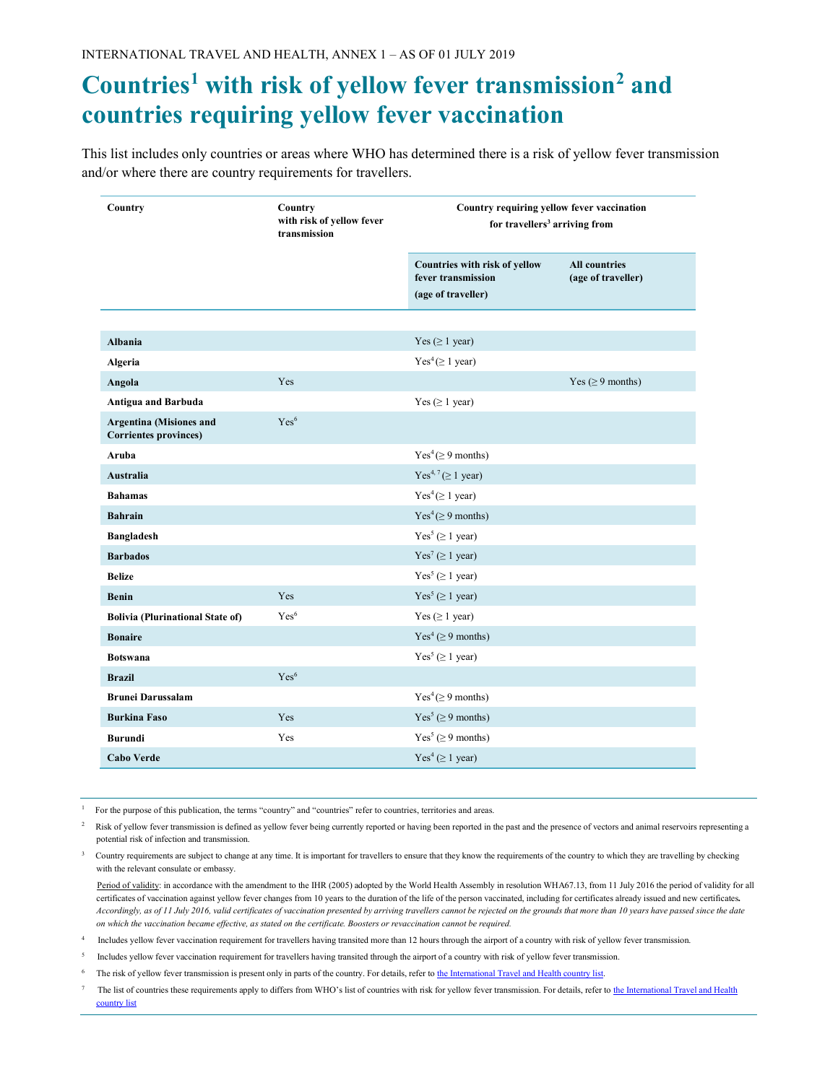## Countries<sup>1</sup> with risk of yellow fever transmission<sup>2</sup> and countries requiring yellow fever vaccination

This list includes only countries or areas where WHO has determined there is a risk of yellow fever transmission and/or where there are country requirements for travellers.

| Country                                                 | Country<br>with risk of yellow fever<br>transmission | Country requiring yellow fever vaccination<br>for travellers <sup>3</sup> arriving from |                                            |
|---------------------------------------------------------|------------------------------------------------------|-----------------------------------------------------------------------------------------|--------------------------------------------|
|                                                         |                                                      | Countries with risk of yellow<br>fever transmission<br>(age of traveller)               | <b>All countries</b><br>(age of traveller) |
|                                                         |                                                      |                                                                                         |                                            |
| <b>Albania</b>                                          |                                                      | Yes $( \geq 1$ year)                                                                    |                                            |
| Algeria                                                 |                                                      | Yes <sup>4</sup> (≥ 1 year)                                                             |                                            |
| Angola                                                  | Yes                                                  |                                                                                         | Yes ( $\geq$ 9 months)                     |
| <b>Antigua and Barbuda</b>                              |                                                      | Yes $( \geq 1$ year)                                                                    |                                            |
| <b>Argentina (Misiones and</b><br>Corrientes provinces) | Yes <sup>6</sup>                                     |                                                                                         |                                            |
| Aruba                                                   |                                                      | $Yes4(\geq 9 months)$                                                                   |                                            |
| Australia                                               |                                                      | $Yes^{4,7}(\geq 1 year)$                                                                |                                            |
| <b>Bahamas</b>                                          |                                                      | Yes <sup>4</sup> (≥ 1 year)                                                             |                                            |
| <b>Bahrain</b>                                          |                                                      | Yes <sup>4</sup> (≥ 9 months)                                                           |                                            |
| <b>Bangladesh</b>                                       |                                                      | Yes <sup>5</sup> (≥ 1 year)                                                             |                                            |
| <b>Barbados</b>                                         |                                                      | Yes <sup>7</sup> ( $\geq$ 1 year)                                                       |                                            |
| <b>Belize</b>                                           |                                                      | Yes <sup>5</sup> ( $\geq$ 1 year)                                                       |                                            |
| <b>Benin</b>                                            | Yes                                                  | Yes <sup>5</sup> (≥ 1 year)                                                             |                                            |
| <b>Bolivia (Plurinational State of)</b>                 | Yes <sup>6</sup>                                     | Yes $( \geq 1$ year)                                                                    |                                            |
| <b>Bonaire</b>                                          |                                                      | Yes <sup>4</sup> (≥ 9 months)                                                           |                                            |
| <b>Botswana</b>                                         |                                                      | Yes <sup>5</sup> (≥ 1 year)                                                             |                                            |
| <b>Brazil</b>                                           | Yes <sup>6</sup>                                     |                                                                                         |                                            |
| <b>Brunei Darussalam</b>                                |                                                      | $Yes4(\geq 9 months)$                                                                   |                                            |
| <b>Burkina Faso</b>                                     | Yes                                                  | Yes <sup>5</sup> (≥ 9 months)                                                           |                                            |
| <b>Burundi</b>                                          | Yes                                                  | Yes <sup>5</sup> (≥ 9 months)                                                           |                                            |
| <b>Cabo Verde</b>                                       |                                                      | Yes <sup>4</sup> (≥ 1 year)                                                             |                                            |

<sup>1</sup> For the purpose of this publication, the terms "country" and "countries" refer to countries, territories and areas.

<sup>2</sup> Risk of yellow fever transmission is defined as yellow fever being currently reported or having been reported in the past and the presence of vectors and animal reservoirs representing a potential risk of infection and transmission.

3 Country requirements are subject to change at any time. It is important for travellers to ensure that they know the requirements of the country to which they are travelling by checking with the relevant consulate or embassy.

Period of validity: in accordance with the amendment to the IHR (2005) adopted by the World Health Assembly in resolution WHA67.13, from 11 July 2016 the period of validity for all certificates of vaccination against yellow fever changes from 10 years to the duration of the life of the person vaccinated, including for certificates already issued and new certificates. Accordingly, as of 11 July 2016, valid certificates of vaccination presented by arriving travellers cannot be rejected on the grounds that more than 10 years have passed since the date on which the vaccination became effective, as stated on the certificate. Boosters or revaccination cannot be required.

4 Includes yellow fever vaccination requirement for travellers having transited more than 12 hours through the airport of a country with risk of yellow fever transmission.

<sup>5</sup> Includes yellow fever vaccination requirement for travellers having transited through the airport of a country with risk of yellow fever transmission.

<sup>6</sup> The risk of yellow fever transmission is present only in parts of the country. For details, refer to the International Travel and Health country list.

The list of countries these requirements apply to differs from WHO's list of countries with risk for yellow fever transmission. For details, refer to the International Travel and Health country list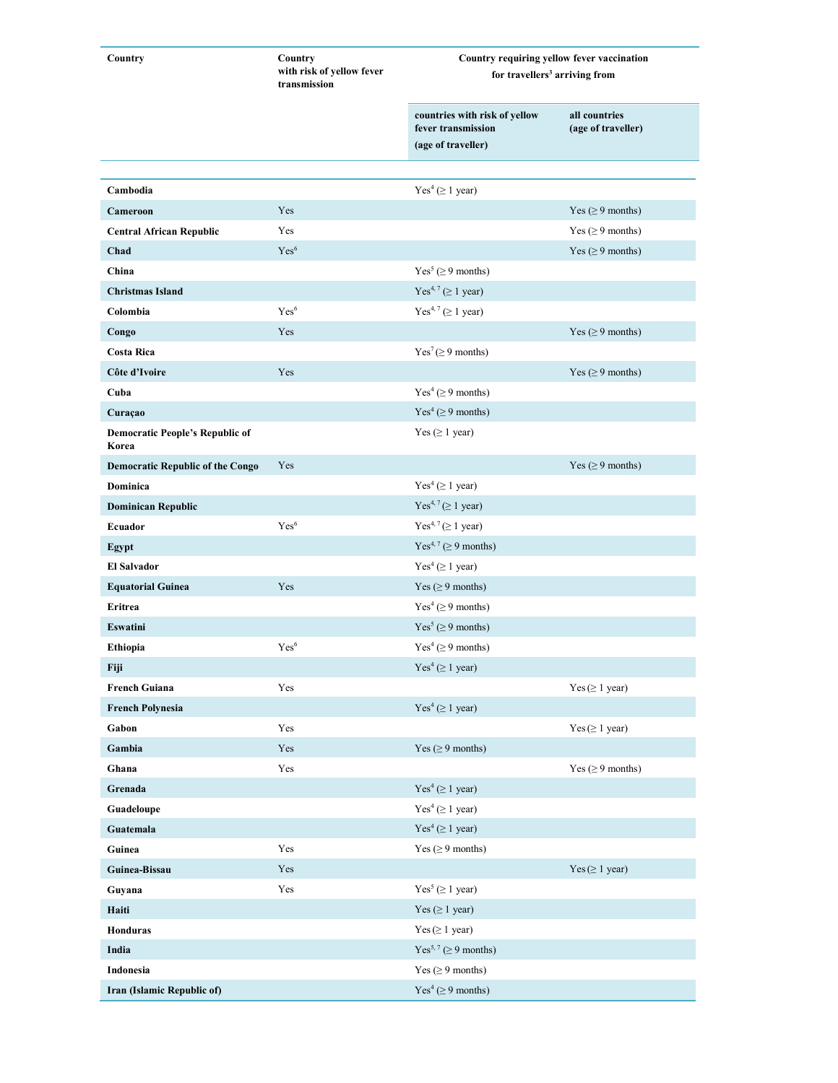| Country                                         | Country<br>with risk of yellow fever<br>transmission | Country requiring yellow fever vaccination<br>for travellers <sup>3</sup> arriving from |                                     |
|-------------------------------------------------|------------------------------------------------------|-----------------------------------------------------------------------------------------|-------------------------------------|
|                                                 |                                                      | countries with risk of yellow<br>fever transmission<br>(age of traveller)               | all countries<br>(age of traveller) |
|                                                 |                                                      |                                                                                         |                                     |
| Cambodia                                        |                                                      | Yes <sup>4</sup> (≥ 1 year)                                                             |                                     |
| Cameroon                                        | Yes                                                  |                                                                                         | Yes ( $\geq$ 9 months)              |
| <b>Central African Republic</b>                 | Yes                                                  |                                                                                         | Yes ( $\geq$ 9 months)              |
| Chad                                            | Yes <sup>6</sup>                                     |                                                                                         | Yes ( $\geq$ 9 months)              |
| China                                           |                                                      | Yes <sup>5</sup> (≥ 9 months)                                                           |                                     |
| <b>Christmas Island</b>                         |                                                      | $Yes^{4, 7} (\geq 1 year)$                                                              |                                     |
| Colombia                                        | Yes <sup>6</sup>                                     | Yes <sup>4, 7</sup> ( $\geq$ 1 year)                                                    |                                     |
| Congo                                           | Yes                                                  |                                                                                         | Yes ( $\geq$ 9 months)              |
| <b>Costa Rica</b>                               |                                                      | Yes <sup>7</sup> (≥ 9 months)                                                           |                                     |
| Côte d'Ivoire                                   | Yes                                                  |                                                                                         | Yes ( $\geq$ 9 months)              |
| Cuba                                            |                                                      | Yes <sup>4</sup> (≥ 9 months)                                                           |                                     |
| Curaçao                                         |                                                      | Yes <sup>4</sup> (≥ 9 months)                                                           |                                     |
| <b>Democratic People's Republic of</b><br>Korea |                                                      | Yes $( \geq 1$ year)                                                                    |                                     |
| <b>Democratic Republic of the Congo</b>         | Yes                                                  |                                                                                         | Yes $( \geq 9$ months)              |
| Dominica                                        |                                                      | Yes <sup>4</sup> (≥ 1 year)                                                             |                                     |
| <b>Dominican Republic</b>                       |                                                      | Yes <sup>4,7</sup> ( $\geq$ 1 year)                                                     |                                     |
| Ecuador                                         | Yes <sup>6</sup>                                     | Yes <sup>4,7</sup> ( $\geq$ 1 year)                                                     |                                     |
| Egypt                                           |                                                      | Yes <sup>4, 7</sup> (≥ 9 months)                                                        |                                     |
| <b>El Salvador</b>                              |                                                      | Yes <sup>4</sup> (≥ 1 year)                                                             |                                     |
| <b>Equatorial Guinea</b>                        | Yes                                                  | Yes ( $\geq$ 9 months)                                                                  |                                     |
| Eritrea                                         |                                                      | Yes <sup>4</sup> (≥ 9 months)                                                           |                                     |
| Eswatini                                        |                                                      | Yes <sup>5</sup> (≥ 9 months)                                                           |                                     |
| Ethiopia                                        | Yes <sup>6</sup>                                     | Yes <sup>4</sup> (≥ 9 months)                                                           |                                     |
| Fiji                                            |                                                      | Yes <sup>4</sup> (≥ 1 year)                                                             |                                     |
| <b>French Guiana</b>                            | Yes                                                  |                                                                                         | Yes (≥ 1 year)                      |
| <b>French Polynesia</b>                         |                                                      | Yes <sup>4</sup> (≥ 1 year)                                                             |                                     |
| Gabon                                           | Yes                                                  |                                                                                         | Yes (≥ 1 year)                      |
| Gambia                                          | Yes                                                  | Yes ( $\geq$ 9 months)                                                                  |                                     |
| Ghana                                           | Yes                                                  |                                                                                         | Yes $( \geq 9$ months)              |
| Grenada                                         |                                                      | Yes <sup>4</sup> (≥ 1 year)                                                             |                                     |
| Guadeloupe                                      |                                                      | Yes <sup>4</sup> (≥ 1 year)                                                             |                                     |
| Guatemala                                       |                                                      | Yes <sup>4</sup> (≥ 1 year)                                                             |                                     |
| Guinea                                          | Yes                                                  | Yes ( $\geq$ 9 months)                                                                  |                                     |
| Guinea-Bissau                                   | Yes                                                  |                                                                                         | Yes ( $\geq 1$ year)                |
| Guyana                                          | Yes                                                  | Yes <sup>5</sup> (≥ 1 year)                                                             |                                     |
| Haiti                                           |                                                      | Yes $( \geq 1$ year)                                                                    |                                     |
| Honduras                                        |                                                      | Yes ( $\geq 1$ year)                                                                    |                                     |
| India                                           |                                                      | Yes <sup>5, 7</sup> ( $\geq$ 9 months)                                                  |                                     |
| Indonesia                                       |                                                      | Yes $( \geq 9$ months)                                                                  |                                     |

 $Yes<sup>4</sup> (≥ 9 months)$ 

Iran (Islamic Republic of)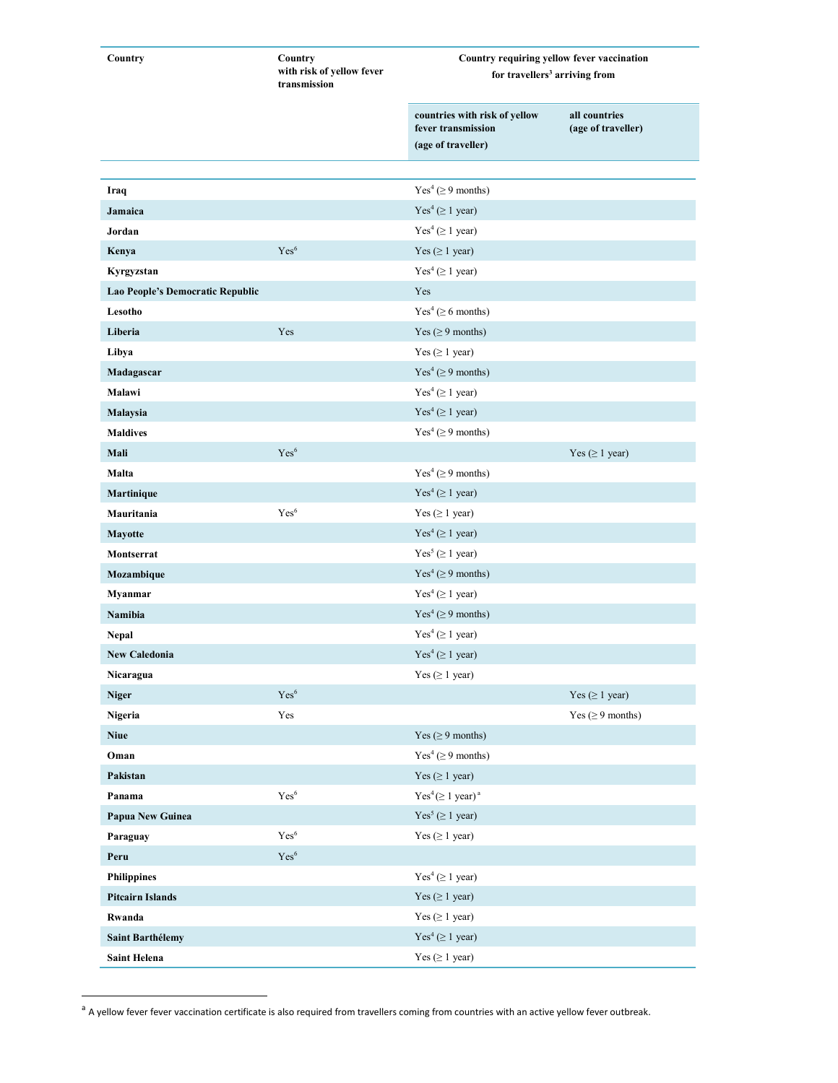| Country                          | Country<br>with risk of yellow fever<br>transmission | Country requiring yellow fever vaccination<br>for travellers <sup>3</sup> arriving from |                                     |
|----------------------------------|------------------------------------------------------|-----------------------------------------------------------------------------------------|-------------------------------------|
|                                  |                                                      | countries with risk of yellow<br>fever transmission<br>(age of traveller)               | all countries<br>(age of traveller) |
|                                  |                                                      |                                                                                         |                                     |
| Iraq                             |                                                      | Yes <sup>4</sup> (≥ 9 months)                                                           |                                     |
| Jamaica                          |                                                      | Yes <sup>4</sup> (≥ 1 year)                                                             |                                     |
| Jordan                           |                                                      | Yes <sup>4</sup> (≥ 1 year)                                                             |                                     |
| Kenya                            | Yes <sup>6</sup>                                     | Yes $( \geq 1$ year)                                                                    |                                     |
| Kyrgyzstan                       |                                                      | Yes <sup>4</sup> (≥ 1 year)                                                             |                                     |
| Lao People's Democratic Republic |                                                      | Yes                                                                                     |                                     |
| Lesotho                          |                                                      | Yes <sup>4</sup> (≥ 6 months)                                                           |                                     |
| Liberia                          | Yes                                                  | Yes ( $\geq$ 9 months)                                                                  |                                     |
| Libya                            |                                                      | Yes $( \geq 1$ year)                                                                    |                                     |
| Madagascar                       |                                                      | Yes <sup>4</sup> (≥ 9 months)                                                           |                                     |
| Malawi                           |                                                      | Yes <sup>4</sup> (≥ 1 year)                                                             |                                     |
| Malaysia                         |                                                      | Yes <sup>4</sup> (≥ 1 year)                                                             |                                     |
| <b>Maldives</b>                  |                                                      | Yes <sup>4</sup> (≥ 9 months)                                                           |                                     |
| Mali                             | Yes <sup>6</sup>                                     |                                                                                         | Yes $( \geq 1$ year)                |
| Malta                            |                                                      | Yes <sup>4</sup> (≥ 9 months)                                                           |                                     |
| Martinique                       |                                                      | Yes <sup>4</sup> (≥ 1 year)                                                             |                                     |
| Mauritania                       | Yes <sup>6</sup>                                     | Yes $( \geq 1$ year)                                                                    |                                     |
| Mayotte                          |                                                      | Yes <sup>4</sup> (≥ 1 year)                                                             |                                     |
| Montserrat                       |                                                      | Yes <sup>5</sup> (≥ 1 year)                                                             |                                     |
| Mozambique                       |                                                      | Yes <sup>4</sup> (≥ 9 months)                                                           |                                     |
| Myanmar                          |                                                      | Yes <sup>4</sup> (≥ 1 year)                                                             |                                     |
| Namibia                          |                                                      | Yes <sup>4</sup> (≥ 9 months)                                                           |                                     |
| Nepal                            |                                                      | Yes <sup>4</sup> (≥ 1 year)                                                             |                                     |
| <b>New Caledonia</b>             |                                                      | Yes <sup>4</sup> (≥ 1 year)                                                             |                                     |
| Nicaragua                        |                                                      | Yes $( \geq 1$ year)                                                                    |                                     |
| <b>Niger</b>                     | $\mathrm{Yes}^6$                                     |                                                                                         | Yes $( \geq 1$ year)                |
| Nigeria                          | Yes                                                  |                                                                                         | Yes ( $\geq$ 9 months)              |
| <b>Niue</b>                      |                                                      | Yes ( $\geq$ 9 months)                                                                  |                                     |
| Oman                             |                                                      | Yes <sup>4</sup> (≥ 9 months)                                                           |                                     |
| Pakistan                         |                                                      | Yes $( \geq 1$ year)                                                                    |                                     |
| Panama                           | $\mathrm{Yes}^6$                                     | Yes <sup>4</sup> (≥ 1 year) <sup>a</sup>                                                |                                     |
| Papua New Guinea                 |                                                      | Yes <sup>5</sup> ( $\geq$ 1 year)                                                       |                                     |
| Paraguay                         | Yes <sup>6</sup>                                     | Yes $( \geq 1$ year)                                                                    |                                     |
| Peru                             | $\mathrm{Yes}^6$                                     |                                                                                         |                                     |
| <b>Philippines</b>               |                                                      | Yes <sup>4</sup> (≥ 1 year)                                                             |                                     |
| <b>Pitcairn Islands</b>          |                                                      | Yes $( \geq 1$ year)                                                                    |                                     |
| Rwanda                           |                                                      | Yes $( \geq 1$ year)                                                                    |                                     |
| Saint Barthélemy                 |                                                      | Yes <sup>4</sup> (≥ 1 year)                                                             |                                     |
| Saint Helena                     |                                                      | Yes $( \geq 1$ year)                                                                    |                                     |

<sup>&</sup>lt;sup>a</sup> A yellow fever fever vaccination certificate is also required from travellers coming from countries with an active yellow fever outbreak.

 $\overline{a}$